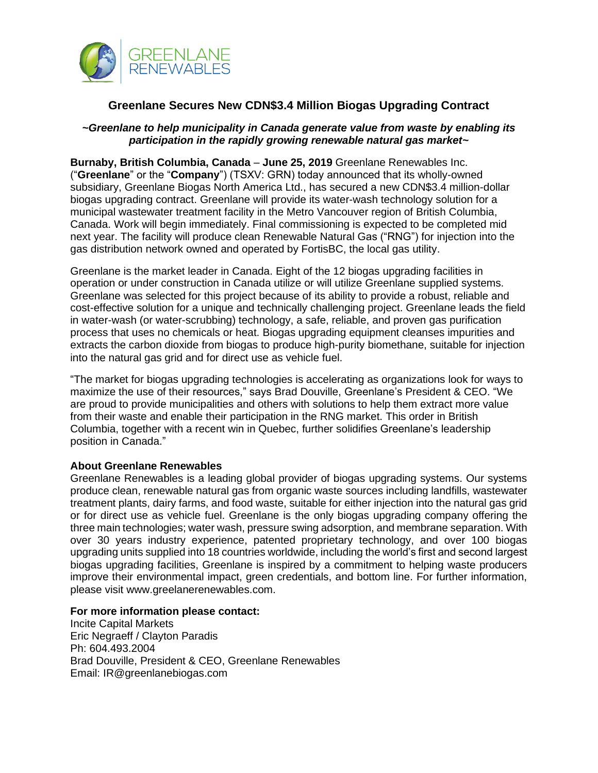

## **Greenlane Secures New CDN\$3.4 Million Biogas Upgrading Contract**

## *~Greenlane to help municipality in Canada generate value from waste by enabling its participation in the rapidly growing renewable natural gas market~*

**Burnaby, British Columbia, Canada** – **June 25, 2019** Greenlane Renewables Inc. ("**Greenlane**" or the "**Company**") (TSXV: GRN) today announced that its wholly-owned subsidiary, Greenlane Biogas North America Ltd., has secured a new CDN\$3.4 million-dollar biogas upgrading contract. Greenlane will provide its water-wash technology solution for a municipal wastewater treatment facility in the Metro Vancouver region of British Columbia, Canada. Work will begin immediately. Final commissioning is expected to be completed mid next year. The facility will produce clean Renewable Natural Gas ("RNG") for injection into the gas distribution network owned and operated by FortisBC, the local gas utility.

Greenlane is the market leader in Canada. Eight of the 12 biogas upgrading facilities in operation or under construction in Canada utilize or will utilize Greenlane supplied systems. Greenlane was selected for this project because of its ability to provide a robust, reliable and cost-effective solution for a unique and technically challenging project. Greenlane leads the field in water-wash (or water-scrubbing) technology, a safe, reliable, and proven gas purification process that uses no chemicals or heat. Biogas upgrading equipment cleanses impurities and extracts the carbon dioxide from biogas to produce high-purity biomethane, suitable for injection into the natural gas grid and for direct use as vehicle fuel.

"The market for biogas upgrading technologies is accelerating as organizations look for ways to maximize the use of their resources," says Brad Douville, Greenlane's President & CEO. "We are proud to provide municipalities and others with solutions to help them extract more value from their waste and enable their participation in the RNG market. This order in British Columbia, together with a recent win in Quebec, further solidifies Greenlane's leadership position in Canada."

## **About Greenlane Renewables**

Greenlane Renewables is a leading global provider of biogas upgrading systems. Our systems produce clean, renewable natural gas from organic waste sources including landfills, wastewater treatment plants, dairy farms, and food waste, suitable for either injection into the natural gas grid or for direct use as vehicle fuel. Greenlane is the only biogas upgrading company offering the three main technologies; water wash, pressure swing adsorption, and membrane separation. With over 30 years industry experience, patented proprietary technology, and over 100 biogas upgrading units supplied into 18 countries worldwide, including the world's first and second largest biogas upgrading facilities, Greenlane is inspired by a commitment to helping waste producers improve their environmental impact, green credentials, and bottom line. For further information, please visit www.greelanerenewables.com.

## **For more information please contact:**

Incite Capital Markets Eric Negraeff / Clayton Paradis Ph: 604.493.2004 Brad Douville, President & CEO, Greenlane Renewables Email: IR@greenlanebiogas.com